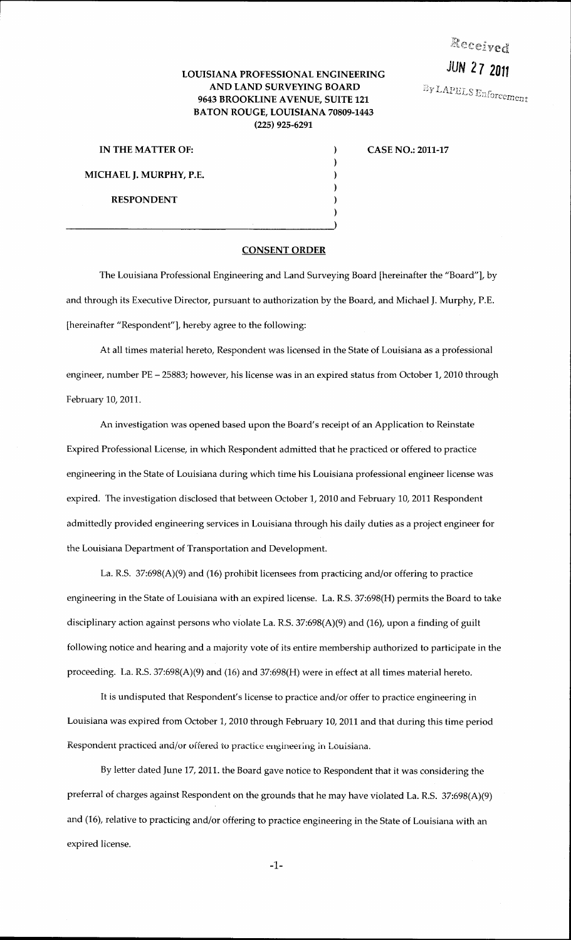Received

JUN *2* 7 **<sup>2011</sup>**

By LAPELS Enforcement

## LOUISIANA PROFESSIONAL ENGINEERING AND LAND SURVEYING BOARD 9643 BROOKLINE AVENUE, SUITE 121 BATON ROUGE, LOUISIANA 70809-1443 (225) 925-6291

 $\mathcal{E}$  $\mathbf{)}$  $\mathcal{F}$  $\mathcal{E}$ 

MICHAEL J. MURPHY, P.E. RESPONDENT

## IN THE MATTER OF:  $C = 2011-17$

## CONSENT ORDER

The Louisiana Professional Engineering and Land Surveying Board [hereinafter the "Board"], by and through its Executive Director, pursuant to authorization by the Board, and Michael J. Murphy, P.E. [hereinafter "Respondent"], hereby agree to the following:

At all times material hereto, Respondent was licensed in the State of Louisiana as a professional engineer, number PE- 25883; however, his license was in an expired status from October 1, 2010 through February 10,2011.

An investigation was opened based upon the Board's receipt of an Application to Reinstate Expired Professional License, in which Respondent admitted that he practiced or offered to practice engineering in the State of Louisiana during which time his Louisiana professional engineer license was expired. The investigation disclosed that between October 1, 2010 and February 10, 2011 Respondent admittedly provided engineering services in Louisiana through his daily duties as a project engineer for the Louisiana Department of Transportation and Development.

La. R.S. 37:698(A)(9) and (16) prohibit licensees from practicing and/or offering to practice engineering in the State of Louisiana with an expired license. La. R.S. 37:698(H) permits the Board to take disciplinary action against persons who violate La. R.S. 37:698(A)(9) and (16), upon a finding of guilt following notice and hearing and a majority vote of its entire membership authorized to participate in the proceeding. La. R.S. 37:698(A)(9) and (16) and 37:698(H) were in effect at all times material hereto.

It is undisputed that Respondent's license to practice and/or offer to practice engineering in Louisiana was expired from October 1, 2010 through February 10, 2011 and that during this time period Respondent practiced and/or offered to practice engineering in Louisiana.

By letter dated June 17,2011. the Board gave notice to Respondent that it was considering the preferral of charges against Respondent on the grounds that he may have violated La. R.S. 37:698(A)(9) and (16), relative to practicing and/or offering to practice engineering in the State of Louisiana with an expired license.

-1-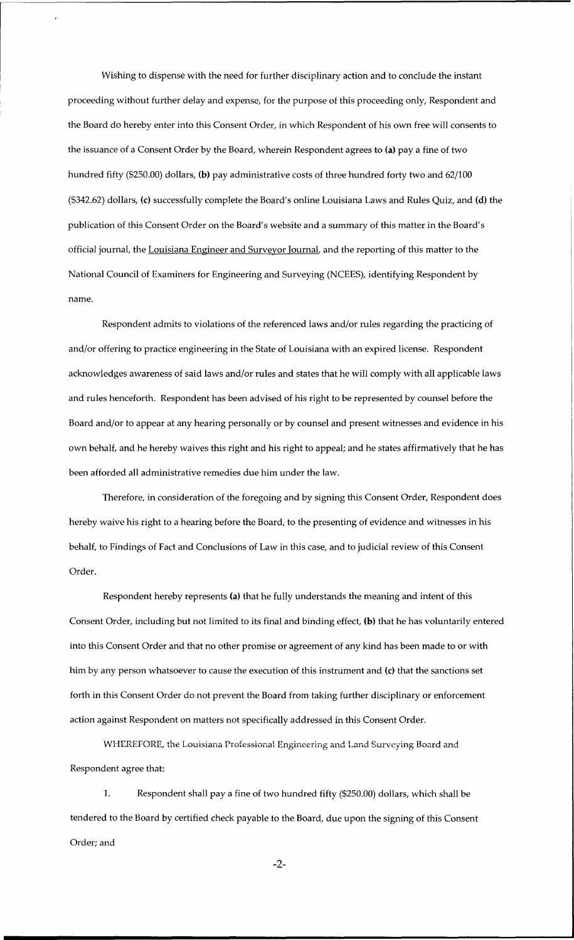Wishing to dispense with the need for further disciplinary action and to conclude the instant proceeding without further delay and expense, for the purpose of this proceeding only, Respondent and the Board do hereby enter into this Consent Order, in which Respondent of his own free will consents to the issuance of a Consent Order by the Board, wherein Respondent agrees to (a) pay a fine of two hundred fifty (\$250.00) dollars, (b) pay administrative costs of three hundred forty two and 62/100 (\$342.62) dollars, (c) successfully complete the Board's online Louisiana Laws and Rules Quiz, and (d) the publication of this Consent Order on the Board's website and a summary of this matter in the Board's official journal, the Louisiana Engineer and Surveyor Journal, and the reporting of this matter to the National Council of Examiners for Engineering and Surveying (NCEES), identifying Respondent by name.

Respondent admits to violations of the referenced laws and/or rules regarding the practicing of and/or offering to practice engineering in the State of Louisiana with an expired license. Respondent acknowledges awareness of said laws and/or rules and states that he will comply with all applicable laws and rules henceforth. Respondent has been advised of his right to be represented by counsel before the Board and/or to appear at any hearing personally or by counsel and present witnesses and evidence in his own behalf, and he hereby waives this right and his right to appeal; and he states affirmatively that he has been afforded all administrative remedies due him under the law.

Therefore, in consideration of the foregoing and by signing this Consent Order, Respondent does hereby waive his right to a hearing before the Board, to the presenting of evidence and witnesses in his behalf, to Findings of Fact and Conclusions of Law in this case, and to judicial review of this Consent Order.

Respondent hereby represents (a) that he fully understands the meaning and intent of this Consent Order, including but not limited to its final and binding effect, (b) that he has voluntarily entered into this Consent Order and that no other promise or agreement of any kind has been made to or with him by any person whatsoever to cause the execution of this instrument and (c) that the sanctions set forth in this Consent Order do not prevent the Board from taking further disciplinary or enforcement action against Respondent on matters not specifically addressed in this Consent Order.

WHEREFORE, the Louisiana Professional Engineering and Land Surveying Board and Respondent agree that:

1. Respondent shall pay a fine of two hundred fifty (\$250.00) dollars, which shall be tendered to the Board by certified check payable to the Board, due upon the signing of this Consent Order; and

-2-